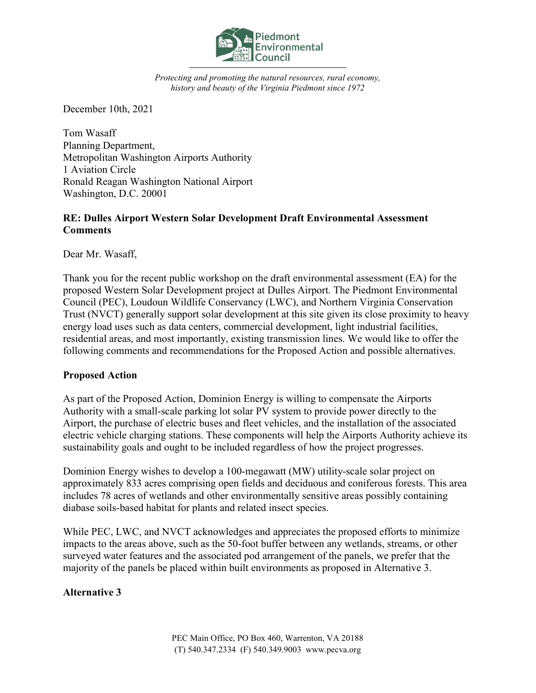

Protecting and promoting the natural resources, rural economy, history and beauty of the Virginia Piedmont since 1972

December 10th, 2021

Tom Wasaff Planning Department, Metropolitan Washington Airports Authority 1 Aviation Circle Ronald Reagan Washington National Airport Washington, D.C. 20001

## RE: Dulles Airport Western Solar Development Draft Environmental Assessment **Comments**

Dear Mr. Wasaff,

Thank you for the recent public workshop on the draft environmental assessment (EA) for the proposed Western Solar Development project at Dulles Airport. The Piedmont Environmental Council (PEC), Loudoun Wildlife Conservancy (LWC), and Northern Virginia Conservation Trust (NVCT) generally support solar development at this site given its close proximity to heavy energy load uses such as data centers, commercial development, light industrial facilities, residential areas, and most importantly, existing transmission lines. We would like to offer the following comments and recommendations for the Proposed Action and possible alternatives.

## Proposed Action

As part of the Proposed Action, Dominion Energy is willing to compensate the Airports Authority with a small-scale parking lot solar PV system to provide power directly to the Airport, the purchase of electric buses and fleet vehicles, and the installation of the associated electric vehicle charging stations. These components will help the Airports Authority achieve its sustainability goals and ought to be included regardless of how the project progresses.

Dominion Energy wishes to develop a 100-megawatt (MW) utility-scale solar project on approximately 833 acres comprising open fields and deciduous and coniferous forests. This area includes 78 acres of wetlands and other environmentally sensitive areas possibly containing diabase soils-based habitat for plants and related insect species.

While PEC, LWC, and NVCT acknowledges and appreciates the proposed efforts to minimize impacts to the areas above, such as the 50-foot buffer between any wetlands, streams, or other surveyed water features and the associated pod arrangement of the panels, we prefer that the majority of the panels be placed within built environments as proposed in Alternative 3.

## Alternative 3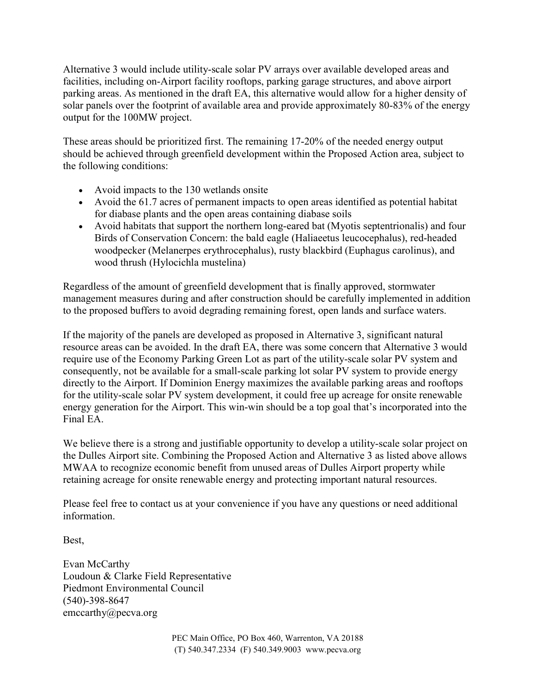Alternative 3 would include utility-scale solar PV arrays over available developed areas and facilities, including on-Airport facility rooftops, parking garage structures, and above airport parking areas. As mentioned in the draft EA, this alternative would allow for a higher density of solar panels over the footprint of available area and provide approximately 80-83% of the energy output for the 100MW project.

These areas should be prioritized first. The remaining 17-20% of the needed energy output should be achieved through greenfield development within the Proposed Action area, subject to the following conditions:

- Avoid impacts to the 130 wetlands onsite
- Avoid the 61.7 acres of permanent impacts to open areas identified as potential habitat for diabase plants and the open areas containing diabase soils
- Avoid habitats that support the northern long-eared bat (Myotis septentrionalis) and four Birds of Conservation Concern: the bald eagle (Haliaeetus leucocephalus), red-headed woodpecker (Melanerpes erythrocephalus), rusty blackbird (Euphagus carolinus), and wood thrush (Hylocichla mustelina)

Regardless of the amount of greenfield development that is finally approved, stormwater management measures during and after construction should be carefully implemented in addition to the proposed buffers to avoid degrading remaining forest, open lands and surface waters.

If the majority of the panels are developed as proposed in Alternative 3, significant natural resource areas can be avoided. In the draft EA, there was some concern that Alternative 3 would require use of the Economy Parking Green Lot as part of the utility-scale solar PV system and consequently, not be available for a small-scale parking lot solar PV system to provide energy directly to the Airport. If Dominion Energy maximizes the available parking areas and rooftops for the utility-scale solar PV system development, it could free up acreage for onsite renewable energy generation for the Airport. This win-win should be a top goal that's incorporated into the Final EA.

We believe there is a strong and justifiable opportunity to develop a utility-scale solar project on the Dulles Airport site. Combining the Proposed Action and Alternative 3 as listed above allows MWAA to recognize economic benefit from unused areas of Dulles Airport property while retaining acreage for onsite renewable energy and protecting important natural resources.

Please feel free to contact us at your convenience if you have any questions or need additional information.

Best,

Evan McCarthy Loudoun & Clarke Field Representative Piedmont Environmental Council (540)-398-8647 emccarthy@pecva.org

> PEC Main Office, PO Box 460, Warrenton, VA 20188 (T) 540.347.2334 (F) 540.349.9003 www.pecva.org